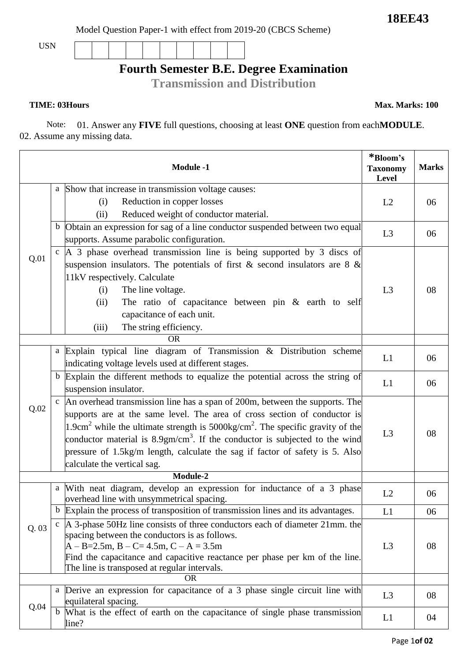**18EE43**

Model Question Paper-1 with effect from 2019-20 (CBCS Scheme)

USN

## **Fourth Semester B.E. Degree Examination**

**Transmission and Distribution**

**TIME: 03Hours Max. Marks: 100** 

Note: 01. Answer any **FIVE** full questions, choosing at least **ONE** question from each**MODULE**. 02. Assume any missing data.

| <b>Module -1</b> |              | *Bloom's<br><b>Taxonomy</b><br>Level                                                                  | <b>Marks</b>   |    |
|------------------|--------------|-------------------------------------------------------------------------------------------------------|----------------|----|
|                  | a            | Show that increase in transmission voltage causes:                                                    |                |    |
|                  |              | Reduction in copper losses<br>(i)                                                                     | L2             | 06 |
|                  |              | Reduced weight of conductor material.<br>(ii)                                                         |                |    |
|                  | $\mathbf b$  | Obtain an expression for sag of a line conductor suspended between two equal                          |                |    |
|                  |              | supports. Assume parabolic configuration.                                                             | L3             | 06 |
| Q.01             | $\mathbf{C}$ | A 3 phase overhead transmission line is being supported by 3 discs of                                 |                |    |
|                  |              | suspension insulators. The potentials of first & second insulators are 8 $\&$                         |                |    |
|                  |              | 11kV respectively. Calculate                                                                          |                |    |
|                  |              | The line voltage.<br>(i)                                                                              | L <sub>3</sub> | 08 |
|                  |              | The ratio of capacitance between pin $\&$ earth to self<br>(ii)                                       |                |    |
|                  |              | capacitance of each unit.                                                                             |                |    |
|                  |              | The string efficiency.<br>(iii)                                                                       |                |    |
|                  |              | <b>OR</b>                                                                                             |                |    |
|                  | a            | Explain typical line diagram of Transmission & Distribution scheme                                    |                |    |
|                  |              | indicating voltage levels used at different stages.                                                   | L1             | 06 |
|                  | $\mathbf b$  | Explain the different methods to equalize the potential across the string of                          |                |    |
|                  |              | suspension insulator.                                                                                 | L1             | 06 |
|                  | $\mathbf{C}$ | An overhead transmission line has a span of 200m, between the supports. The                           | L3             | 08 |
| Q.02             |              | supports are at the same level. The area of cross section of conductor is                             |                |    |
|                  |              | 1.9cm <sup>2</sup> while the ultimate strength is $5000 \text{kg/cm}^2$ . The specific gravity of the |                |    |
|                  |              | conductor material is $8.9gm/cm3$ . If the conductor is subjected to the wind                         |                |    |
|                  |              | pressure of 1.5kg/m length, calculate the sag if factor of safety is 5. Also                          |                |    |
|                  |              | calculate the vertical sag.                                                                           |                |    |
|                  | Module-2     |                                                                                                       |                |    |
|                  | a            | With neat diagram, develop an expression for inductance of a 3 phase                                  |                |    |
|                  |              | overhead line with unsymmetrical spacing.                                                             | L2             | 06 |
|                  | $\mathbf b$  | Explain the process of transposition of transmission lines and its advantages.                        | L1             | 06 |
| Q. 03            |              | c $\vert$ A 3-phase 50Hz line consists of three conductors each of diameter 21mm. the                 |                |    |
|                  |              | spacing between the conductors is as follows.                                                         |                |    |
|                  |              | $A - B = 2.5m$ , $B - C = 4.5m$ , $C - A = 3.5m$                                                      | L <sub>3</sub> | 08 |
|                  |              | Find the capacitance and capacitive reactance per phase per km of the line.                           |                |    |
|                  |              | The line is transposed at regular intervals.<br><b>OR</b>                                             |                |    |
|                  |              | a Derive an expression for capacitance of a 3 phase single circuit line with                          |                |    |
| Q.04             |              | equilateral spacing.                                                                                  | L <sub>3</sub> | 08 |
|                  | $\mathbf b$  | What is the effect of earth on the capacitance of single phase transmission                           |                |    |
|                  |              | line?                                                                                                 | L1             | 04 |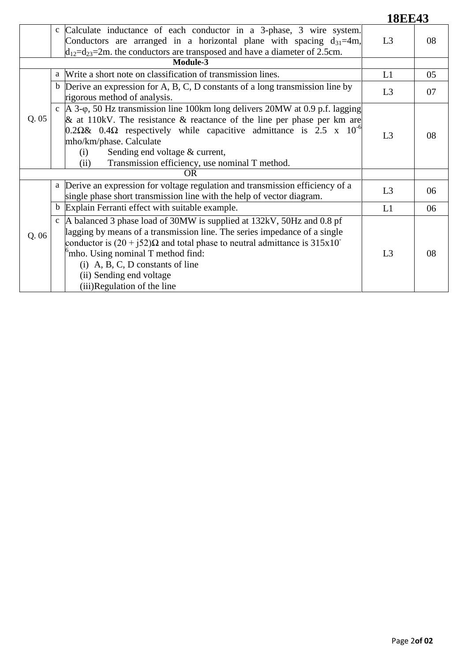**18EE43**

|          | c Calculate inductance of each conductor in a 3-phase, 3 wire system.<br>Conductors are arranged in a horizontal plane with spacing $d_{31}=4m$ ,<br>$d_{12}=d_{23}=2m$ . the conductors are transposed and have a diameter of 2.5cm.                                                                                                                                                                  | L <sub>3</sub> | 08 |
|----------|--------------------------------------------------------------------------------------------------------------------------------------------------------------------------------------------------------------------------------------------------------------------------------------------------------------------------------------------------------------------------------------------------------|----------------|----|
| Module-3 |                                                                                                                                                                                                                                                                                                                                                                                                        |                |    |
| Q.05     | Write a short note on classification of transmission lines.<br>a                                                                                                                                                                                                                                                                                                                                       | L1             | 05 |
|          | Derive an expression for A, B, C, D constants of a long transmission line by<br>$\mathbf b$<br>rigorous method of analysis.                                                                                                                                                                                                                                                                            | L3             | 07 |
|          | c   A 3- $\varphi$ , 50 Hz transmission line 100km long delivers 20MW at 0.9 p.f. lagging<br>$\&$ at 110kV. The resistance $\&$ reactance of the line per phase per km are<br>$0.2\Omega\& 0.4\Omega$ respectively while capacitive admittance is 2.5 x 10 <sup>-6</sup><br>mho/km/phase. Calculate<br>Sending end voltage & current,<br>(i)<br>Transmission efficiency, use nominal T method.<br>(ii) | L <sub>3</sub> | 08 |
|          | <b>OR</b>                                                                                                                                                                                                                                                                                                                                                                                              |                |    |
|          | a Derive an expression for voltage regulation and transmission efficiency of a<br>single phase short transmission line with the help of vector diagram.                                                                                                                                                                                                                                                | L <sub>3</sub> | 06 |
|          | b Explain Ferranti effect with suitable example.                                                                                                                                                                                                                                                                                                                                                       | L1             | 06 |
| Q.06     | A balanced 3 phase load of 30MW is supplied at 132kV, 50Hz and 0.8 pf<br>$\mathbf{c}$<br>lagging by means of a transmission line. The series impedance of a single<br>conductor is $(20 + i52)\Omega$ and total phase to neutral admittance is 315x10<br>$\beta$ mho. Using nominal T method find:<br>$(i)$ A, B, C, D constants of line<br>(ii) Sending end voltage<br>(iii)Regulation of the line    | L3             | 08 |